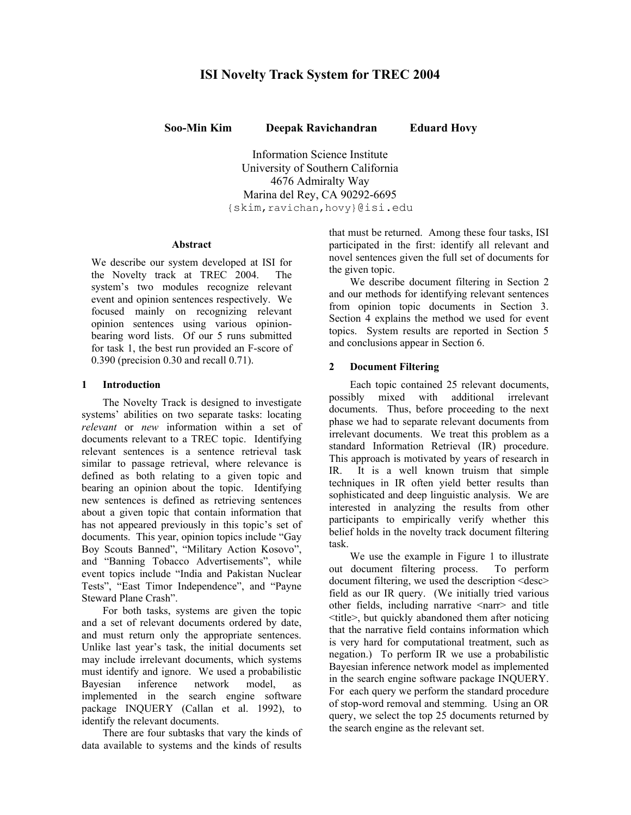# **ISI Novelty Track System for TREC 2004**

**Soo-Min Kim Deepak Ravichandran Eduard Hovy**

Information Science Institute University of Southern California 4676 Admiralty Way Marina del Rey, CA 90292-6695 {skim,ravichan,hovy}@isi.edu

# **Abstract**

We describe our system developed at ISI for the Novelty track at TREC 2004. The system's two modules recognize relevant event and opinion sentences respectively. We focused mainly on recognizing relevant opinion sentences using various opinionbearing word lists. Of our 5 runs submitted for task 1, the best run provided an F-score of 0.390 (precision 0.30 and recall 0.71).

# **1 Introduction**

The Novelty Track is designed to investigate systems' abilities on two separate tasks: locating *relevant* or *new* information within a set of documents relevant to a TREC topic. Identifying relevant sentences is a sentence retrieval task similar to passage retrieval, where relevance is defined as both relating to a given topic and bearing an opinion about the topic. Identifying new sentences is defined as retrieving sentences about a given topic that contain information that has not appeared previously in this topic's set of documents. This year, opinion topics include "Gay Boy Scouts Banned", "Military Action Kosovo", and "Banning Tobacco Advertisements", while event topics include "India and Pakistan Nuclear Tests", "East Timor Independence", and "Payne Steward Plane Crash".

For both tasks, systems are given the topic and a set of relevant documents ordered by date, and must return only the appropriate sentences. Unlike last year's task, the initial documents set may include irrelevant documents, which systems must identify and ignore. We used a probabilistic<br>Bavesian inference network model, as Bayesian inference network model, as implemented in the search engine software package INQUERY (Callan et al. 1992), to identify the relevant documents.

There are four subtasks that vary the kinds of data available to systems and the kinds of results

that must be returned. Among these four tasks, ISI participated in the first: identify all relevant and novel sentences given the full set of documents for the given topic.

We describe document filtering in Section 2 and our methods for identifying relevant sentences from opinion topic documents in Section 3. Section 4 explains the method we used for event topics. System results are reported in Section 5 and conclusions appear in Section 6.

# **2 Document Filtering**

Each topic contained 25 relevant documents, possibly mixed with additional irrelevant documents. Thus, before proceeding to the next phase we had to separate relevant documents from irrelevant documents. We treat this problem as a standard Information Retrieval (IR) procedure. This approach is motivated by years of research in IR. It is a well known truism that simple techniques in IR often yield better results than sophisticated and deep linguistic analysis. We are interested in analyzing the results from other participants to empirically verify whether this belief holds in the novelty track document filtering task.

We use the example in Figure 1 to illustrate out document filtering process. To perform document filtering, we used the description <desc> field as our IR query. (We initially tried various other fields, including narrative <narr> and title <title>, but quickly abandoned them after noticing that the narrative field contains information which is very hard for computational treatment, such as negation.) To perform IR we use a probabilistic Bayesian inference network model as implemented in the search engine software package INQUERY. For each query we perform the standard procedure of stop-word removal and stemming. Using an OR query, we select the top 25 documents returned by the search engine as the relevant set.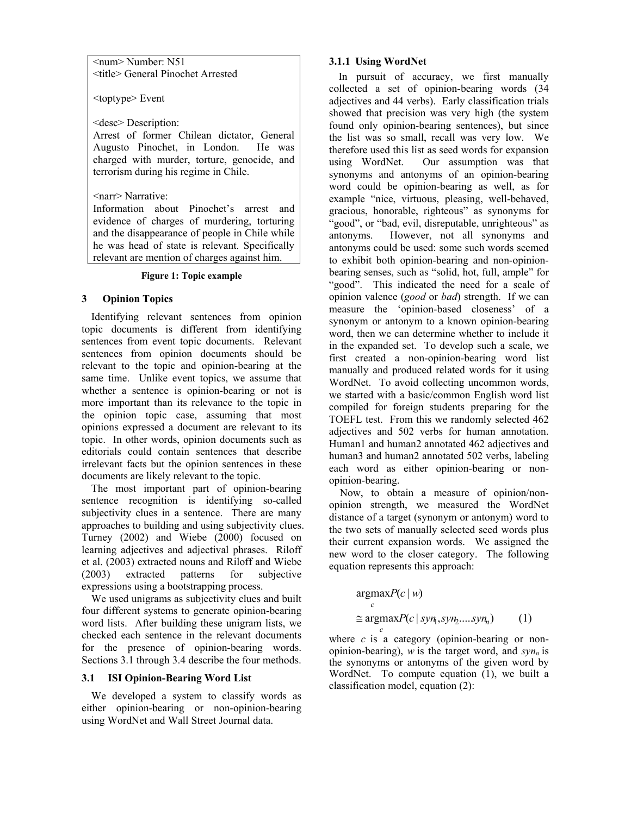<num> Number: N51 <title> General Pinochet Arrested

<toptype> Event

<desc> Description:

Arrest of former Chilean dictator, General Augusto Pinochet, in London. He was charged with murder, torture, genocide, and terrorism during his regime in Chile.

<narr> Narrative:

Information about Pinochet's arrest and evidence of charges of murdering, torturing and the disappearance of people in Chile while he was head of state is relevant. Specifically relevant are mention of charges against him.

# **Figure 1: Topic example**

# **3 Opinion Topics**

Identifying relevant sentences from opinion topic documents is different from identifying sentences from event topic documents. Relevant sentences from opinion documents should be relevant to the topic and opinion-bearing at the same time. Unlike event topics, we assume that whether a sentence is opinion-bearing or not is more important than its relevance to the topic in the opinion topic case, assuming that most opinions expressed a document are relevant to its topic. In other words, opinion documents such as editorials could contain sentences that describe irrelevant facts but the opinion sentences in these documents are likely relevant to the topic.

The most important part of opinion-bearing sentence recognition is identifying so-called subjectivity clues in a sentence. There are many approaches to building and using subjectivity clues. Turney (2002) and Wiebe (2000) focused on learning adjectives and adjectival phrases. Riloff et al. (2003) extracted nouns and Riloff and Wiebe (2003) extracted patterns for subjective expressions using a bootstrapping process.

We used unigrams as subjectivity clues and built four different systems to generate opinion-bearing word lists. After building these unigram lists, we checked each sentence in the relevant documents for the presence of opinion-bearing words. Sections 3.1 through 3.4 describe the four methods.

# **3.1 ISI Opinion-Bearing Word List**

We developed a system to classify words as either opinion-bearing or non-opinion-bearing using WordNet and Wall Street Journal data.

# **3.1.1 Using WordNet**

In pursuit of accuracy, we first manually collected a set of opinion-bearing words (34 adjectives and 44 verbs). Early classification trials showed that precision was very high (the system found only opinion-bearing sentences), but since the list was so small, recall was very low. We therefore used this list as seed words for expansion using WordNet. Our assumption was that synonyms and antonyms of an opinion-bearing word could be opinion-bearing as well, as for example "nice, virtuous, pleasing, well-behaved, gracious, honorable, righteous" as synonyms for "good", or "bad, evil, disreputable, unrighteous" as antonyms. However, not all synonyms and antonyms could be used: some such words seemed to exhibit both opinion-bearing and non-opinionbearing senses, such as "solid, hot, full, ample" for "good". This indicated the need for a scale of opinion valence (*good* or *bad*) strength. If we can measure the 'opinion-based closeness' of a synonym or antonym to a known opinion-bearing word, then we can determine whether to include it in the expanded set. To develop such a scale, we first created a non-opinion-bearing word list manually and produced related words for it using WordNet. To avoid collecting uncommon words, we started with a basic/common English word list compiled for foreign students preparing for the TOEFL test. From this we randomly selected 462 adjectives and 502 verbs for human annotation. Human1 and human2 annotated 462 adjectives and human3 and human2 annotated 502 verbs, labeling each word as either opinion-bearing or nonopinion-bearing.

Now, to obtain a measure of opinion/nonopinion strength, we measured the WordNet distance of a target (synonym or antonym) word to the two sets of manually selected seed words plus their current expansion words. We assigned the new word to the closer category. The following equation represents this approach:

$$
\underset{c}{\text{argmax}} P(c \mid w)
$$
  
\n
$$
\approx \underset{c}{\text{argmax}} P(c \mid syn_1, syn_2....syn_n)
$$
 (1)

where *c* is a category (opinion-bearing or nonopinion-bearing), *w* is the target word, and  $syn_n$  is the synonyms or antonyms of the given word by WordNet. To compute equation (1), we built a classification model, equation (2):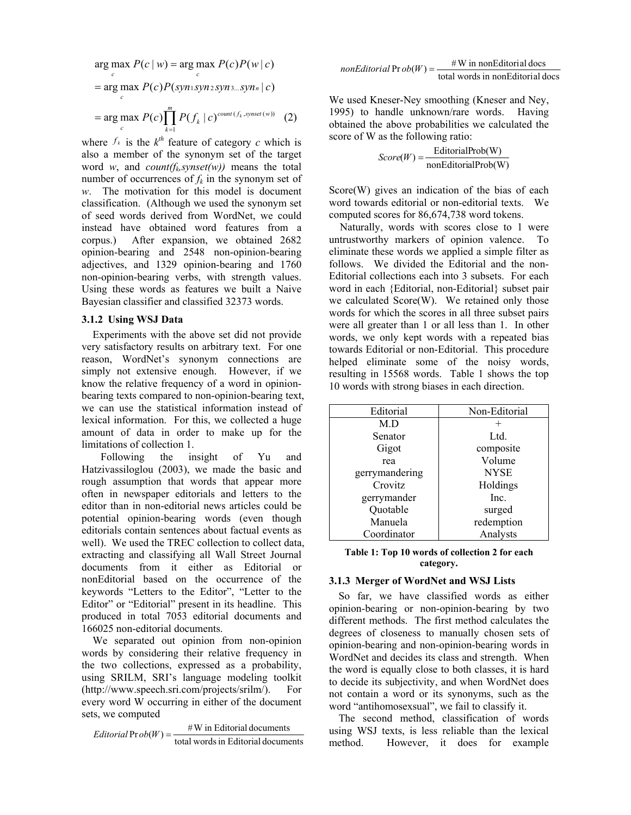$$
\arg\max_{c} P(c \mid w) = \arg\max_{c} P(c)P(w \mid c)
$$
\n
$$
= \arg\max_{c} P(c)P(\text{syn}_1 \text{syn}_2 \text{syn}_3 \dots \text{syn}_n \mid c)
$$
\n
$$
= \arg\max_{c} P(c) \prod_{k=1}^{m} P(f_k \mid c)^{\text{count}(f_k, \text{synset}(w))} \quad (2)
$$

where  $f_k$  is the  $k^{th}$  feature of category *c* which is also a member of the synonym set of the target word *w*, and *count*( $f_k$ *synset(w))* means the total number of occurrences of  $f_k$  in the synonym set of *w*. The motivation for this model is document classification. (Although we used the synonym set of seed words derived from WordNet, we could instead have obtained word features from a corpus.) After expansion, we obtained 2682 opinion-bearing and 2548 non-opinion-bearing adjectives, and 1329 opinion-bearing and 1760 non-opinion-bearing verbs, with strength values. Using these words as features we built a Naive Bayesian classifier and classified 32373 words.

## **3.1.2 Using WSJ Data**

Experiments with the above set did not provide very satisfactory results on arbitrary text. For one reason, WordNet's synonym connections are simply not extensive enough. However, if we know the relative frequency of a word in opinionbearing texts compared to non-opinion-bearing text, we can use the statistical information instead of lexical information. For this, we collected a huge amount of data in order to make up for the limitations of collection 1.

 Following the insight of Yu and Hatzivassiloglou (2003), we made the basic and rough assumption that words that appear more often in newspaper editorials and letters to the editor than in non-editorial news articles could be potential opinion-bearing words (even though editorials contain sentences about factual events as well). We used the TREC collection to collect data, extracting and classifying all Wall Street Journal documents from it either as Editorial or nonEditorial based on the occurrence of the keywords "Letters to the Editor", "Letter to the Editor" or "Editorial" present in its headline. This produced in total 7053 editorial documents and 166025 non-editorial documents.

We separated out opinion from non-opinion words by considering their relative frequency in the two collections, expressed as a probability, using SRILM, SRI's language modeling toolkit (http://www.speech.sri.com/projects/srilm/). For every word W occurring in either of the document sets, we computed

 $Editionial$   $\text{Pr }ob(W) = \frac{\#W \text{ in Editorial documents}}{\text{total words in Editorial documents}}$ 

 $nonEditorial \text{ Pr }ob(W) = \frac{\# \text{ W in nonEditorial does}}{\text{total words in nonEditorial does}}$ 

We used Kneser-Ney smoothing (Kneser and Ney, 1995) to handle unknown/rare words. Having obtained the above probabilities we calculated the score of W as the following ratio:

$$
Score(W) = \frac{EditorialProb(W)}{nonEditorialProb(W)}
$$

Score(W) gives an indication of the bias of each word towards editorial or non-editorial texts. We computed scores for 86,674,738 word tokens.

Naturally, words with scores close to 1 were untrustworthy markers of opinion valence. To eliminate these words we applied a simple filter as follows. We divided the Editorial and the non-Editorial collections each into 3 subsets. For each word in each {Editorial, non-Editorial} subset pair we calculated Score(W). We retained only those words for which the scores in all three subset pairs were all greater than 1 or all less than 1. In other words, we only kept words with a repeated bias towards Editorial or non-Editorial. This procedure helped eliminate some of the noisy words, resulting in 15568 words. Table 1 shows the top 10 words with strong biases in each direction.

| Editorial      | Non-Editorial |  |  |
|----------------|---------------|--|--|
| M.D            |               |  |  |
| Senator        | Ltd.          |  |  |
| Gigot          | composite     |  |  |
| rea            | Volume        |  |  |
| gerrymandering | <b>NYSE</b>   |  |  |
| Crovitz        | Holdings      |  |  |
| gerrymander    | Inc.          |  |  |
| Quotable       | surged        |  |  |
| Manuela        | redemption    |  |  |
| Coordinator    | Analysts      |  |  |

#### **Table 1: Top 10 words of collection 2 for each category.**

## **3.1.3 Merger of WordNet and WSJ Lists**

So far, we have classified words as either opinion-bearing or non-opinion-bearing by two different methods. The first method calculates the degrees of closeness to manually chosen sets of opinion-bearing and non-opinion-bearing words in WordNet and decides its class and strength. When the word is equally close to both classes, it is hard to decide its subjectivity, and when WordNet does not contain a word or its synonyms, such as the word "antihomosexsual", we fail to classify it.

The second method, classification of words using WSJ texts, is less reliable than the lexical method. However, it does for example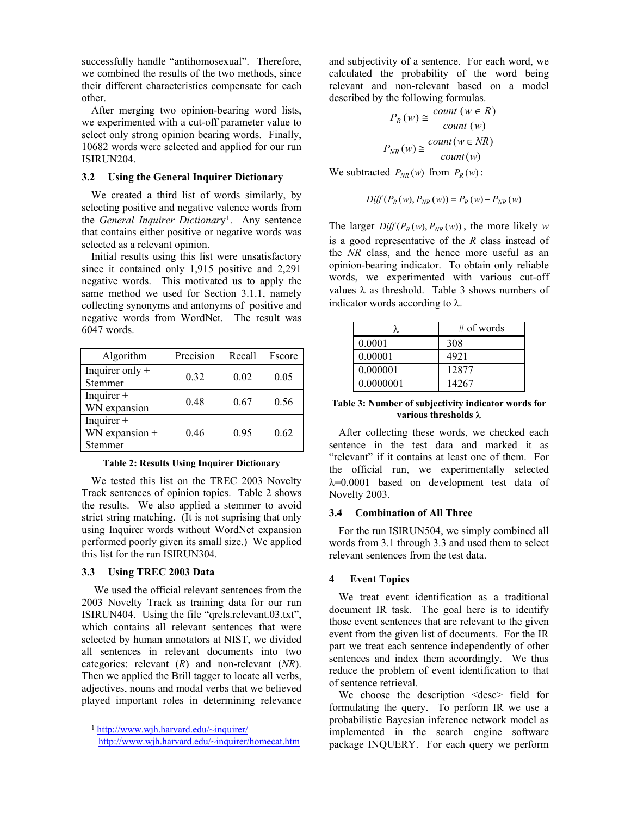successfully handle "antihomosexual". Therefore, we combined the results of the two methods, since their different characteristics compensate for each other.

After merging two opinion-bearing word lists, we experimented with a cut-off parameter value to select only strong opinion bearing words. Finally, 10682 words were selected and applied for our run ISIRUN204.

## **3.2 Using the General Inquirer Dictionary**

We created a third list of words similarly, by selecting positive and negative valence words from the *General Inquirer Dictionar*y1. Any sentence that contains either positive or negative words was selected as a relevant opinion.

Initial results using this list were unsatisfactory since it contained only 1,915 positive and 2,291 negative words. This motivated us to apply the same method we used for Section 3.1.1, namely collecting synonyms and antonyms of positive and negative words from WordNet. The result was 6047 words.

| Algorithm                                 | Precision | Recall | Fscore |
|-------------------------------------------|-----------|--------|--------|
| Inquirer only $+$<br>Stemmer              | 0.32      | 0.02   | 0.05   |
| Inquirer $+$<br>WN expansion              | 0.48      | 0.67   | 0.56   |
| Inquirer $+$<br>WN expansion +<br>Stemmer | 0.46      | 0.95   | 0.62   |

**Table 2: Results Using Inquirer Dictionary** 

We tested this list on the TREC 2003 Novelty Track sentences of opinion topics. Table 2 shows the results. We also applied a stemmer to avoid strict string matching. (It is not suprising that only using Inquirer words without WordNet expansion performed poorly given its small size.) We applied this list for the run ISIRUN304.

### **3.3 Using TREC 2003 Data**

 We used the official relevant sentences from the 2003 Novelty Track as training data for our run ISIRUN404. Using the file "qrels.relevant.03.txt", which contains all relevant sentences that were selected by human annotators at NIST, we divided all sentences in relevant documents into two categories: relevant (*R*) and non-relevant (*NR*). Then we applied the Brill tagger to locate all verbs, adjectives, nouns and modal verbs that we believed played important roles in determining relevance

 $\overline{a}$ 

and subjectivity of a sentence. For each word, we calculated the probability of the word being relevant and non-relevant based on a model described by the following formulas.

$$
P_R(w) \cong \frac{count(w \in R)}{count(w)}
$$

$$
P_{NR}(w) \cong \frac{count(w \in NR)}{count(w)}
$$

We subtracted  $P_{NR}(w)$  from  $P_R(w)$ :

$$
Diff(P_R(w), P_{NR}(w)) = P_R(w) - P_{NR}(w)
$$

The larger  $Diff(P_R(w), P_{NR}(w))$ , the more likely *w* is a good representative of the *R* class instead of the *NR* class, and the hence more useful as an opinion-bearing indicator. To obtain only reliable words, we experimented with various cut-off values λ as threshold. Table 3 shows numbers of indicator words according to  $\lambda$ .

|           | $\#$ of words |  |
|-----------|---------------|--|
| 0.0001    | 308           |  |
| 0.00001   | 4921          |  |
| 0.000001  | 12877         |  |
| 0.0000001 | 14267         |  |

**Table 3: Number of subjectivity indicator words for various thresholds** λ

After collecting these words, we checked each sentence in the test data and marked it as "relevant" if it contains at least one of them. For the official run, we experimentally selected λ=0.0001 based on development test data of Novelty 2003.

## **3.4 Combination of All Three**

For the run ISIRUN504, we simply combined all words from 3.1 through 3.3 and used them to select relevant sentences from the test data.

# **4 Event Topics**

We treat event identification as a traditional document IR task. The goal here is to identify those event sentences that are relevant to the given event from the given list of documents. For the IR part we treat each sentence independently of other sentences and index them accordingly. We thus reduce the problem of event identification to that of sentence retrieval.

We choose the description <desc> field for formulating the query. To perform IR we use a probabilistic Bayesian inference network model as implemented in the search engine software package INQUERY. For each query we perform

<sup>1</sup> http://www.wjh.harvard.edu/~inquirer/

http://www.wjh.harvard.edu/~inquirer/homecat.htm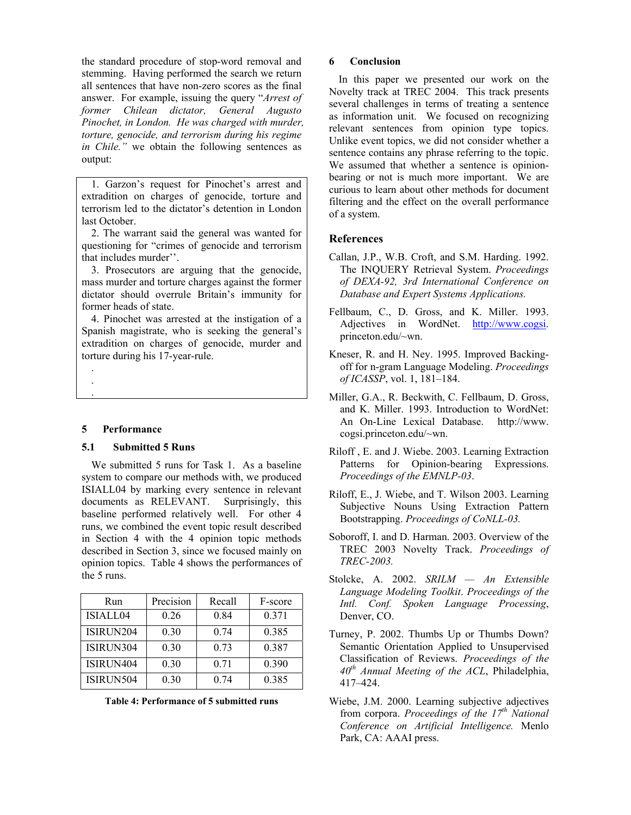the standard procedure of stop-word removal and stemming. Having performed the search we return all sentences that have non-zero scores as the final answer. For example, issuing the query "*Arrest of former Chilean dictator, General Augusto Pinochet, in London. He was charged with murder, torture, genocide, and terrorism during his regime in Chile.*" we obtain the following sentences as output:

1. Garzon's request for Pinochet's arrest and extradition on charges of genocide, torture and terrorism led to the dictator's detention in London last October.

2. The warrant said the general was wanted for questioning for "crimes of genocide and terrorism that includes murder''.

3. Prosecutors are arguing that the genocide, mass murder and torture charges against the former dictator should overrule Britain's immunity for former heads of state.

4. Pinochet was arrested at the instigation of a Spanish magistrate, who is seeking the general's extradition on charges of genocide, murder and torture during his 17-year-rule.

**5 Performance** 

. . .

# **5.1 Submitted 5 Runs**

We submitted 5 runs for Task 1. As a baseline system to compare our methods with, we produced ISIALL04 by marking every sentence in relevant documents as RELEVANT. Surprisingly, this baseline performed relatively well. For other 4 runs, we combined the event topic result described in Section 4 with the 4 opinion topic methods described in Section 3, since we focused mainly on opinion topics. Table 4 shows the performances of the 5 runs.

| Run       | Precision | Recall | F-score |
|-----------|-----------|--------|---------|
| ISIALL04  | 0.26      | 0.84   | 0.371   |
| ISIRUN204 | 0.30      | 0.74   | 0.385   |
| ISIRUN304 | 0.30      | 0.73   | 0.387   |
| ISIRUN404 | 0.30      | 0.71   | 0.390   |
| ISIRUN504 | 0.30      | 0.74   | 0.385   |

# **6 Conclusion**

In this paper we presented our work on the Novelty track at TREC 2004. This track presents several challenges in terms of treating a sentence as information unit. We focused on recognizing relevant sentences from opinion type topics. Unlike event topics, we did not consider whether a sentence contains any phrase referring to the topic. We assumed that whether a sentence is opinionbearing or not is much more important. We are curious to learn about other methods for document filtering and the effect on the overall performance of a system.

# **References**

- Callan, J.P., W.B. Croft, and S.M. Harding. 1992. The INQUERY Retrieval System. *Proceedings of DEXA-92, 3rd International Conference on Database and Expert Systems Applications.*
- Fellbaum, C., D. Gross, and K. Miller. 1993. Adjectives in WordNet. http://www.cogsi. princeton.edu/~wn.
- Kneser, R. and H. Ney. 1995. Improved Backingoff for n-gram Language Modeling. *Proceedings of ICASSP*, vol. 1, 181–184.
- Miller, G.A., R. Beckwith, C. Fellbaum, D. Gross, and K. Miller. 1993. Introduction to WordNet: An On-Line Lexical Database. http://www. cogsi.princeton.edu/~wn.
- Riloff , E. and J. Wiebe. 2003. Learning Extraction Patterns for Opinion-bearing Expressions. *Proceedings of the EMNLP-03*.
- Riloff, E., J. Wiebe, and T. Wilson 2003. Learning Subjective Nouns Using Extraction Pattern Bootstrapping. *Proceedings of CoNLL-03.*
- Soboroff, I. and D. Harman. 2003. Overview of the TREC 2003 Novelty Track. *Proceedings of TREC-2003.*
- Stolcke, A. 2002. *SRILM An Extensible Language Modeling Toolkit*. *Proceedings of the Intl. Conf. Spoken Language Processing*, Denver, CO.
- Turney, P. 2002. Thumbs Up or Thumbs Down? Semantic Orientation Applied to Unsupervised Classification of Reviews. *Proceedings of the*   $40^{th}$  Annual Meeting of the ACL, Philadelphia, 417–424.
- Wiebe, J.M. 2000. Learning subjective adjectives from corpora. *Proceedings of the 17<sup>th</sup> National Conference on Artificial Intelligence.* Menlo Park, CA: AAAI press.